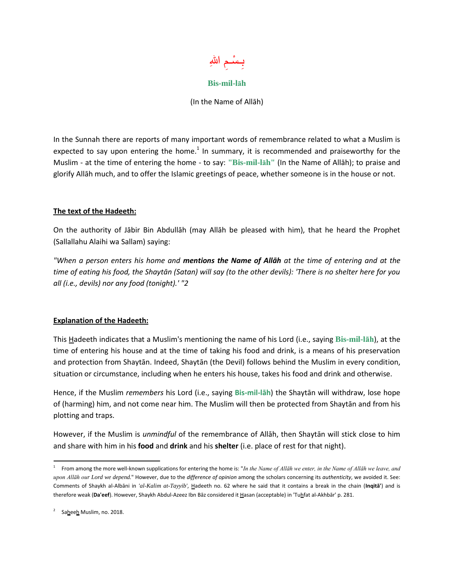

## **Bis-mil-lāh**

(In the Name of Allāh)

In the Sunnah there are reports of many important words of remembrance related to what a Muslim is expected to say upon entering the home.<sup>1</sup> In summary, it is recommended and praiseworthy for the Muslim - at the time of entering the home - to say: **"Bis-mil-lāh"** (In the Name of Allāh); to praise and glorify Allāh much, and to offer the Islamic greetings of peace, whether someone is in the house or not.

## **The text of the Hadeeth:**

On the authority of Jābir Bin Abdullāh (may Allāh be pleased with him), that he heard the Prophet (Sallallahu Alaihi wa Sallam) saying:

*"When a person enters his home and mentions the Name of Allāh at the time of entering and at the time of eating his food, the Shaytān (Satan) will say (to the other devils): 'There is no shelter here for you all (i.e., devils) nor any food (tonight).' "2*

## **Explanation of the Hadeeth:**

This Hadeeth indicates that a Muslim's mentioning the name of his Lord (i.e., saying **Bis-mil-lāh**), at the time of entering his house and at the time of taking his food and drink, is a means of his preservation and protection from Shaytān. Indeed, Shaytān (the Devil) follows behind the Muslim in every condition, situation or circumstance, including when he enters his house, takes his food and drink and otherwise.

Hence, if the Muslim *remembers* his Lord (i.e., saying **Bis-mil-lāh**) the Shaytān will withdraw, lose hope of (harming) him, and not come near him. The Muslim will then be protected from Shaytān and from his plotting and traps.

However, if the Muslim is *unmindful* of the remembrance of Allāh, then Shaytān will stick close to him and share with him in his **food** and **drink** and his **shelter** (i.e. place of rest for that night).

 $\overline{a}$ 

<sup>1</sup> From among the more well-known supplications for entering the home is: "*In the Name of Allāh we enter, in the Name of Allāh we leave, and upon Allāh our Lord we depend.*" However, due to the *difference of opinion* among the scholars concerning its *authenticity*, we avoided it. See: Comments of Shaykh al-Albāni in *'al-Kalim at-Tayyib'*, Hadeeth no. 62 where he said that it contains a break in the chain (**Inqitā'**) and is therefore weak (Da'eef). However, Shaykh Abdul-Azeez Ibn Bāz considered it Hasan (acceptable) in 'Tuhfat al-Akhbār' p. 281.

<sup>2</sup> Saheeh Muslim, no. 2018.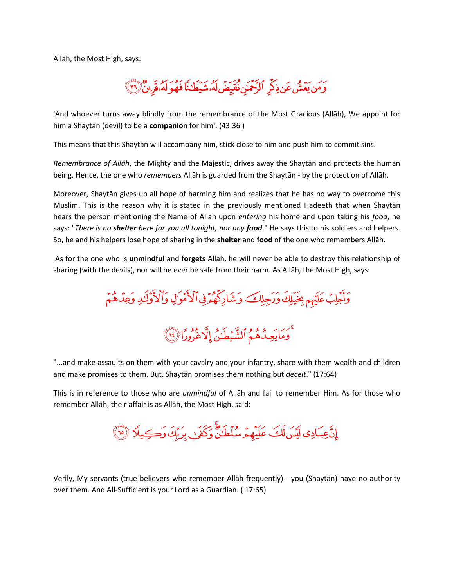Allāh, the Most High, says:



'And whoever turns away blindly from the remembrance of the Most Gracious (Allāh), We appoint for him a Shaytān (devil) to be a **companion** for him'. (43:36 )

This means that this Shaytān will accompany him, stick close to him and push him to commit sins.

*Remembrance of Allāh*, the Mighty and the Majestic, drives away the Shaytān and protects the human being. Hence, the one who *remembers* Allāh is guarded from the Shaytān - by the protection of Allāh.

Moreover, Shaytān gives up all hope of harming him and realizes that he has no way to overcome this Muslim. This is the reason why it is stated in the previously mentioned Hadeeth that when Shaytan hears the person mentioning the Name of Allāh upon *entering* his home and upon taking his *food*, he says: "*There is no shelter here for you all tonight, nor any food*." He says this to his soldiers and helpers. So, he and his helpers lose hope of sharing in the **shelter** and **food** of the one who remembers Allāh.

As for the one who is **unmindful** and **forgets** Allāh, he will never be able to destroy this relationship of sharing (with the devils), nor will he ever be safe from their harm. As Allāh, the Most High, says:

وَأَجْلِبْ عَلَيْهِم بِخَيْلِكَ وَرَجِلِكَ وَشَارِكُهُمْ فِى ٱلْأَمْوَالِ وَٱلْأَوَلَٰٓلِ وَعِدْهُمْ

مَعْ وَمَايَعِيدُهُمُ ٱلشَّيۡطَـٰنُ إِلَّا عَرُورًا (١٤)

"...and make assaults on them with your cavalry and your infantry, share with them wealth and children and make promises to them. But, Shaytān promises them nothing but *deceit*." (17:64)

This is in reference to those who are *unmindful* of Allāh and fail to remember Him. As for those who remember Allāh, their affair is as Allāh, the Most High, said:

إِنَّ عِبَادِي لَيْسَ لَكَ عَلَيْهِمْ سُلُطَنٌّ وَكَفَىٰ بِرَبِّكَ وَكِيلًا (٣)

Verily, My servants (true believers who remember Allāh frequently) - you (Shaytān) have no authority over them. And All-Sufficient is your Lord as a Guardian. ( 17:65)